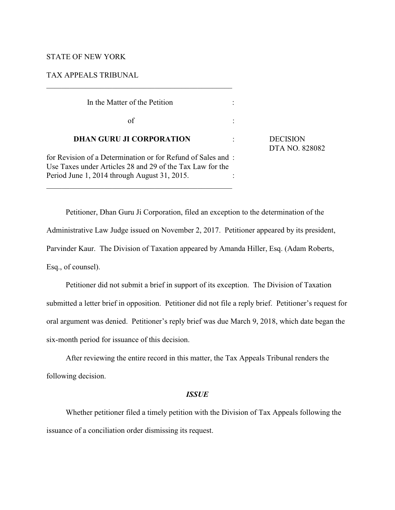# STATE OF NEW YORK

# TAX APPEALS TRIBUNAL

| In the Matter of the Petition                                                                                                                                            |                                   |
|--------------------------------------------------------------------------------------------------------------------------------------------------------------------------|-----------------------------------|
| of                                                                                                                                                                       |                                   |
| <b>DHAN GURU JI CORPORATION</b>                                                                                                                                          | <b>DECISION</b><br>DTA NO. 828082 |
| for Revision of a Determination or for Refund of Sales and:<br>Use Taxes under Articles 28 and 29 of the Tax Law for the<br>Period June 1, 2014 through August 31, 2015. |                                   |

Petitioner, Dhan Guru Ji Corporation, filed an exception to the determination of the Administrative Law Judge issued on November 2, 2017. Petitioner appeared by its president, Parvinder Kaur. The Division of Taxation appeared by Amanda Hiller, Esq. (Adam Roberts, Esq., of counsel).

Petitioner did not submit a brief in support of its exception. The Division of Taxation submitted a letter brief in opposition. Petitioner did not file a reply brief. Petitioner's request for oral argument was denied. Petitioner's reply brief was due March 9, 2018, which date began the six-month period for issuance of this decision.

After reviewing the entire record in this matter, the Tax Appeals Tribunal renders the following decision.

## *ISSUE*

Whether petitioner filed a timely petition with the Division of Tax Appeals following the issuance of a conciliation order dismissing its request.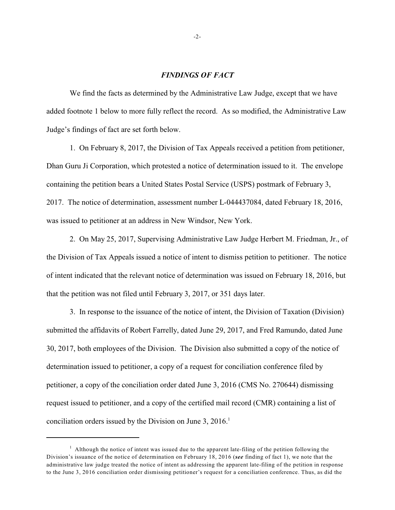### *FINDINGS OF FACT*

We find the facts as determined by the Administrative Law Judge, except that we have added footnote 1 below to more fully reflect the record. As so modified, the Administrative Law Judge's findings of fact are set forth below.

1. On February 8, 2017, the Division of Tax Appeals received a petition from petitioner, Dhan Guru Ji Corporation, which protested a notice of determination issued to it. The envelope containing the petition bears a United States Postal Service (USPS) postmark of February 3, 2017. The notice of determination, assessment number L-044437084, dated February 18, 2016, was issued to petitioner at an address in New Windsor, New York.

2. On May 25, 2017, Supervising Administrative Law Judge Herbert M. Friedman, Jr., of the Division of Tax Appeals issued a notice of intent to dismiss petition to petitioner. The notice of intent indicated that the relevant notice of determination was issued on February 18, 2016, but that the petition was not filed until February 3, 2017, or 351 days later.

3. In response to the issuance of the notice of intent, the Division of Taxation (Division) submitted the affidavits of Robert Farrelly, dated June 29, 2017, and Fred Ramundo, dated June 30, 2017, both employees of the Division. The Division also submitted a copy of the notice of determination issued to petitioner, a copy of a request for conciliation conference filed by petitioner, a copy of the conciliation order dated June 3, 2016 (CMS No. 270644) dismissing request issued to petitioner, and a copy of the certified mail record (CMR) containing a list of conciliation orders issued by the Division on June 3, 2016.<sup>1</sup>

 $<sup>1</sup>$  Although the notice of intent was issued due to the apparent late-filing of the petition following the</sup> Division's issuance of the notice of determination on February 18, 2016 (*see* finding of fact 1), we note that the administrative law judge treated the notice of intent as addressing the apparent late-filing of the petition in response to the June 3, 2016 conciliation order dismissing petitioner's request for a conciliation conference. Thus, as did the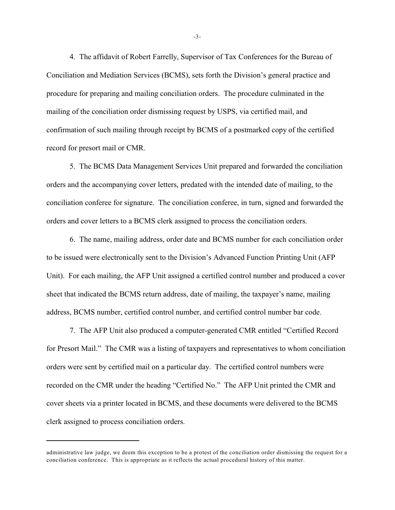4. The affidavit of Robert Farrelly, Supervisor of Tax Conferences for the Bureau of Conciliation and Mediation Services (BCMS), sets forth the Division's general practice and procedure for preparing and mailing conciliation orders. The procedure culminated in the mailing of the conciliation order dismissing request by USPS, via certified mail, and confirmation of such mailing through receipt by BCMS of a postmarked copy of the certified record for presort mail or CMR.

5. The BCMS Data Management Services Unit prepared and forwarded the conciliation orders and the accompanying cover letters, predated with the intended date of mailing, to the conciliation conferee for signature. The conciliation conferee, in turn, signed and forwarded the orders and cover letters to a BCMS clerk assigned to process the conciliation orders.

6. The name, mailing address, order date and BCMS number for each conciliation order to be issued were electronically sent to the Division's Advanced Function Printing Unit (AFP Unit). For each mailing, the AFP Unit assigned a certified control number and produced a cover sheet that indicated the BCMS return address, date of mailing, the taxpayer's name, mailing address, BCMS number, certified control number, and certified control number bar code.

7. The AFP Unit also produced a computer-generated CMR entitled "Certified Record for Presort Mail." The CMR was a listing of taxpayers and representatives to whom conciliation orders were sent by certified mail on a particular day. The certified control numbers were recorded on the CMR under the heading "Certified No." The AFP Unit printed the CMR and cover sheets via a printer located in BCMS, and these documents were delivered to the BCMS clerk assigned to process conciliation orders.

-3-

administrative law judge, we deem this exception to be a protest of the conciliation order dismissing the request for a conciliation conference. This is appropriate as it reflects the actual procedural history of this matter.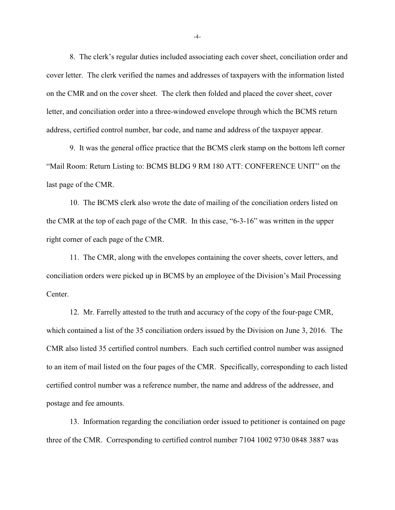8. The clerk's regular duties included associating each cover sheet, conciliation order and cover letter. The clerk verified the names and addresses of taxpayers with the information listed on the CMR and on the cover sheet. The clerk then folded and placed the cover sheet, cover letter, and conciliation order into a three-windowed envelope through which the BCMS return address, certified control number, bar code, and name and address of the taxpayer appear.

9. It was the general office practice that the BCMS clerk stamp on the bottom left corner "Mail Room: Return Listing to: BCMS BLDG 9 RM 180 ATT: CONFERENCE UNIT" on the last page of the CMR.

10. The BCMS clerk also wrote the date of mailing of the conciliation orders listed on the CMR at the top of each page of the CMR. In this case, "6-3-16" was written in the upper right corner of each page of the CMR.

11. The CMR, along with the envelopes containing the cover sheets, cover letters, and conciliation orders were picked up in BCMS by an employee of the Division's Mail Processing Center.

12. Mr. Farrelly attested to the truth and accuracy of the copy of the four-page CMR, which contained a list of the 35 conciliation orders issued by the Division on June 3, 2016. The CMR also listed 35 certified control numbers. Each such certified control number was assigned to an item of mail listed on the four pages of the CMR. Specifically, corresponding to each listed certified control number was a reference number, the name and address of the addressee, and postage and fee amounts.

13. Information regarding the conciliation order issued to petitioner is contained on page three of the CMR. Corresponding to certified control number 7104 1002 9730 0848 3887 was

-4-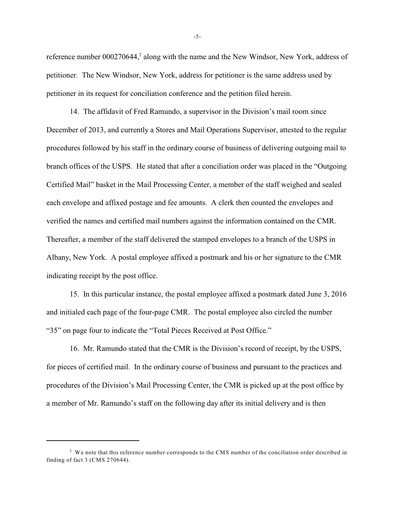reference number 000270644,<sup>2</sup> along with the name and the New Windsor, New York, address of petitioner. The New Windsor, New York, address for petitioner is the same address used by petitioner in its request for conciliation conference and the petition filed herein.

14. The affidavit of Fred Ramundo, a supervisor in the Division's mail room since December of 2013, and currently a Stores and Mail Operations Supervisor, attested to the regular procedures followed by his staff in the ordinary course of business of delivering outgoing mail to branch offices of the USPS. He stated that after a conciliation order was placed in the "Outgoing Certified Mail" basket in the Mail Processing Center, a member of the staff weighed and sealed each envelope and affixed postage and fee amounts. A clerk then counted the envelopes and verified the names and certified mail numbers against the information contained on the CMR. Thereafter, a member of the staff delivered the stamped envelopes to a branch of the USPS in Albany, New York. A postal employee affixed a postmark and his or her signature to the CMR indicating receipt by the post office.

15. In this particular instance, the postal employee affixed a postmark dated June 3, 2016 and initialed each page of the four-page CMR. The postal employee also circled the number "35" on page four to indicate the "Total Pieces Received at Post Office."

16. Mr. Ramundo stated that the CMR is the Division's record of receipt, by the USPS, for pieces of certified mail. In the ordinary course of business and pursuant to the practices and procedures of the Division's Mail Processing Center, the CMR is picked up at the post office by a member of Mr. Ramundo's staff on the following day after its initial delivery and is then

-5-

<sup>&</sup>lt;sup>2</sup> We note that this reference number corresponds to the CMS number of the conciliation order described in finding of fact 3 (CMS 270644).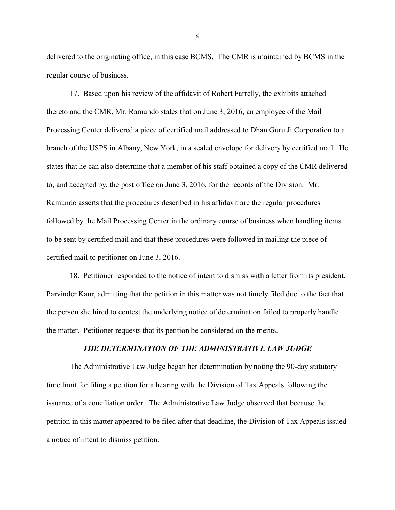delivered to the originating office, in this case BCMS. The CMR is maintained by BCMS in the regular course of business.

17. Based upon his review of the affidavit of Robert Farrelly, the exhibits attached thereto and the CMR, Mr. Ramundo states that on June 3, 2016, an employee of the Mail Processing Center delivered a piece of certified mail addressed to Dhan Guru Ji Corporation to a branch of the USPS in Albany, New York, in a sealed envelope for delivery by certified mail. He states that he can also determine that a member of his staff obtained a copy of the CMR delivered to, and accepted by, the post office on June 3, 2016, for the records of the Division. Mr. Ramundo asserts that the procedures described in his affidavit are the regular procedures followed by the Mail Processing Center in the ordinary course of business when handling items to be sent by certified mail and that these procedures were followed in mailing the piece of certified mail to petitioner on June 3, 2016.

18. Petitioner responded to the notice of intent to dismiss with a letter from its president, Parvinder Kaur, admitting that the petition in this matter was not timely filed due to the fact that the person she hired to contest the underlying notice of determination failed to properly handle the matter. Petitioner requests that its petition be considered on the merits.

## *THE DETERMINATION OF THE ADMINISTRATIVE LAW JUDGE*

The Administrative Law Judge began her determination by noting the 90-day statutory time limit for filing a petition for a hearing with the Division of Tax Appeals following the issuance of a conciliation order. The Administrative Law Judge observed that because the petition in this matter appeared to be filed after that deadline, the Division of Tax Appeals issued a notice of intent to dismiss petition.

-6-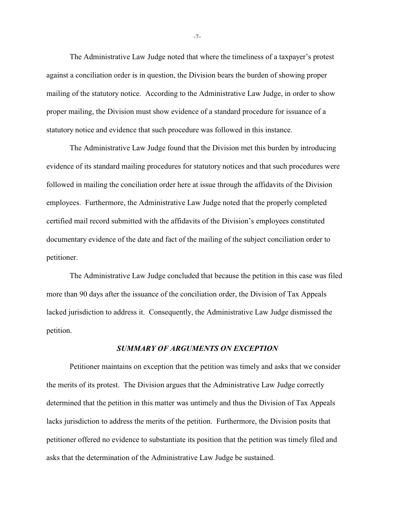The Administrative Law Judge noted that where the timeliness of a taxpayer's protest against a conciliation order is in question, the Division bears the burden of showing proper mailing of the statutory notice. According to the Administrative Law Judge, in order to show proper mailing, the Division must show evidence of a standard procedure for issuance of a statutory notice and evidence that such procedure was followed in this instance.

The Administrative Law Judge found that the Division met this burden by introducing evidence of its standard mailing procedures for statutory notices and that such procedures were followed in mailing the conciliation order here at issue through the affidavits of the Division employees. Furthermore, the Administrative Law Judge noted that the properly completed certified mail record submitted with the affidavits of the Division's employees constituted documentary evidence of the date and fact of the mailing of the subject conciliation order to petitioner.

The Administrative Law Judge concluded that because the petition in this case was filed more than 90 days after the issuance of the conciliation order, the Division of Tax Appeals lacked jurisdiction to address it. Consequently, the Administrative Law Judge dismissed the petition.

## *SUMMARY OF ARGUMENTS ON EXCEPTION*

Petitioner maintains on exception that the petition was timely and asks that we consider the merits of its protest. The Division argues that the Administrative Law Judge correctly determined that the petition in this matter was untimely and thus the Division of Tax Appeals lacks jurisdiction to address the merits of the petition. Furthermore, the Division posits that petitioner offered no evidence to substantiate its position that the petition was timely filed and asks that the determination of the Administrative Law Judge be sustained.

-7-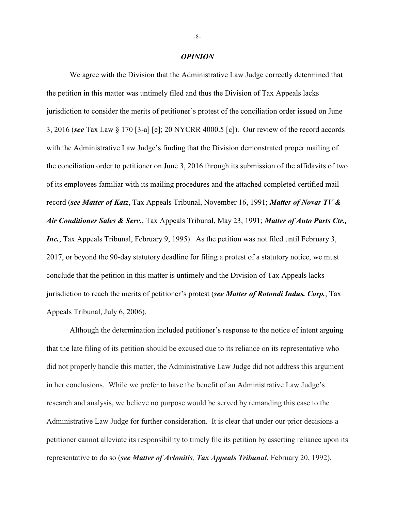#### *OPINION*

We agree with the Division that the Administrative Law Judge correctly determined that the petition in this matter was untimely filed and thus the Division of Tax Appeals lacks jurisdiction to consider the merits of petitioner's protest of the conciliation order issued on June 3, 2016 (*see* Tax Law § 170 [3-a] [e]; 20 NYCRR 4000.5 [c]). Our review of the record accords with the Administrative Law Judge's finding that the Division demonstrated proper mailing of the conciliation order to petitioner on June 3, 2016 through its submission of the affidavits of two of its employees familiar with its mailing procedures and the attached completed certified mail record (*see Matter of Katz*, Tax Appeals Tribunal, November 16, 1991; *Matter of Novar TV & Air Conditioner Sales & Serv.*, Tax Appeals Tribunal, May 23, 1991; *Matter of Auto Parts Ctr., Inc.*, Tax Appeals Tribunal, February 9, 1995). As the petition was not filed until February 3, 2017, or beyond the 90-day statutory deadline for filing a protest of a statutory notice, we must conclude that the petition in this matter is untimely and the Division of Tax Appeals lacks jurisdiction to reach the merits of petitioner's protest (*see Matter of Rotondi Indus. Corp.*, Tax Appeals Tribunal, July 6, 2006).

Although the determination included petitioner's response to the notice of intent arguing that the late filing of its petition should be excused due to its reliance on its representative who did not properly handle this matter, the Administrative Law Judge did not address this argument in her conclusions. While we prefer to have the benefit of an Administrative Law Judge's research and analysis, we believe no purpose would be served by remanding this case to the Administrative Law Judge for further consideration. It is clear that under our prior decisions a petitioner cannot alleviate its responsibility to timely file its petition by asserting reliance upon its representative to do so (*see Matter of Avlonitis, Tax Appeals Tribunal*, February 20, 1992).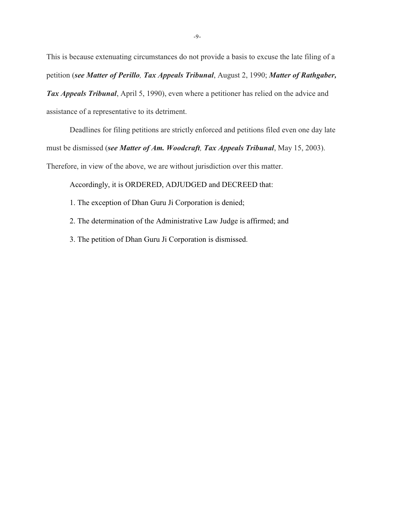This is because extenuating circumstances do not provide a basis to excuse the late filing of a petition (*see Matter of Perillo, Tax Appeals Tribunal*, August 2, 1990; *Matter of Rathgaber, Tax Appeals Tribunal*, April 5, 1990), even where a petitioner has relied on the advice and assistance of a representative to its detriment.

Deadlines for filing petitions are strictly enforced and petitions filed even one day late must be dismissed (*see Matter of Am. Woodcraft, Tax Appeals Tribunal*, May 15, 2003). Therefore, in view of the above, we are without jurisdiction over this matter.

Accordingly, it is ORDERED, ADJUDGED and DECREED that:

1. The exception of Dhan Guru Ji Corporation is denied;

2. The determination of the Administrative Law Judge is affirmed; and

3. The petition of Dhan Guru Ji Corporation is dismissed.